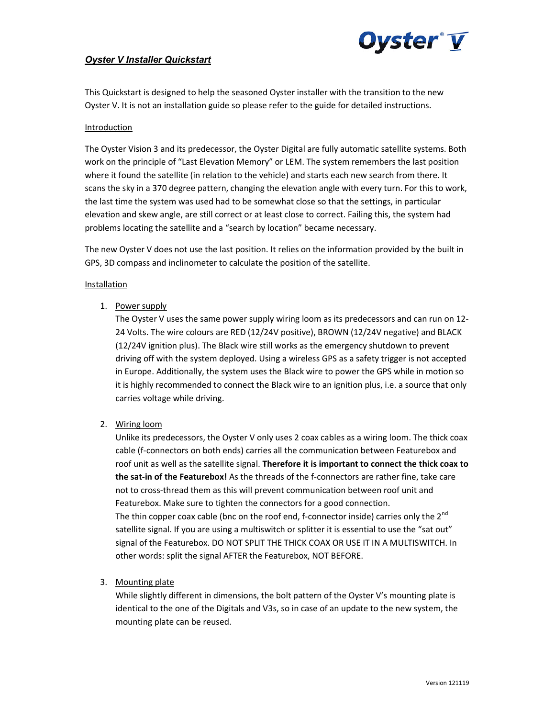

# **Oyster V Installer Quickstart**

This Quickstart is designed to help the seasoned Oyster installer with the transition to the new Oyster V. It is not an installation guide so please refer to the guide for detailed instructions.

#### Introduction

The Oyster Vision 3 and its predecessor, the Oyster Digital are fully automatic satellite systems. Both work on the principle of "Last Elevation Memory" or LEM. The system remembers the last position where it found the satellite (in relation to the vehicle) and starts each new search from there. It scans the sky in a 370 degree pattern, changing the elevation angle with every turn. For this to work, the last time the system was used had to be somewhat close so that the settings, in particular elevation and skew angle, are still correct or at least close to correct. Failing this, the system had problems locating the satellite and a "search by location" became necessary.

The new Oyster V does not use the last position. It relies on the information provided by the built in GPS, 3D compass and inclinometer to calculate the position of the satellite.

#### Installation

1. Power supply

The Oyster V uses the same power supply wiring loom as its predecessors and can run on 12- 24 Volts. The wire colours are RED (12/24V positive), BROWN (12/24V negative) and BLACK (12/24V ignition plus). The Black wire still works as the emergency shutdown to prevent driving off with the system deployed. Using a wireless GPS as a safety trigger is not accepted in Europe. Additionally, the system uses the Black wire to power the GPS while in motion so it is highly recommended to connect the Black wire to an ignition plus, i.e. a source that only carries voltage while driving.

2. Wiring loom

Unlike its predecessors, the Oyster V only uses 2 coax cables as a wiring loom. The thick coax cable (f-connectors on both ends) carries all the communication between Featurebox and roof unit as well as the satellite signal. Therefore it is important to connect the thick coax to the sat-in of the Featurebox! As the threads of the f-connectors are rather fine, take care not to cross-thread them as this will prevent communication between roof unit and Featurebox. Make sure to tighten the connectors for a good connection. The thin copper coax cable (bnc on the roof end, f-connector inside) carries only the  $2^{nd}$ satellite signal. If you are using a multiswitch or splitter it is essential to use the "sat out" signal of the Featurebox. DO NOT SPLIT THE THICK COAX OR USE IT IN A MULTISWITCH. In other words: split the signal AFTER the Featurebox, NOT BEFORE.

3. Mounting plate

While slightly different in dimensions, the bolt pattern of the Oyster V's mounting plate is identical to the one of the Digitals and V3s, so in case of an update to the new system, the mounting plate can be reused.